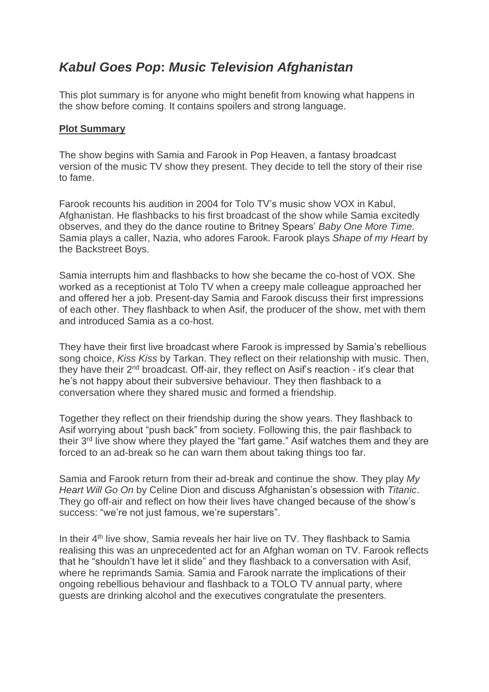## *Kabul Goes Pop***:** *Music Television Afghanistan*

This plot summary is for anyone who might benefit from knowing what happens in the show before coming. It contains spoilers and strong language.

## **Plot Summary**

The show begins with Samia and Farook in Pop Heaven, a fantasy broadcast version of the music TV show they present. They decide to tell the story of their rise to fame.

Farook recounts his audition in 2004 for Tolo TV's music show VOX in Kabul, Afghanistan. He flashbacks to his first broadcast of the show while Samia excitedly observes, and they do the dance routine to Britney Spears' *Baby One More Time.* Samia plays a caller, Nazia, who adores Farook. Farook plays *Shape of my Heart* by the Backstreet Boys.

Samia interrupts him and flashbacks to how she became the co-host of VOX. She worked as a receptionist at Tolo TV when a creepy male colleague approached her and offered her a job. Present-day Samia and Farook discuss their first impressions of each other. They flashback to when Asif, the producer of the show, met with them and introduced Samia as a co-host.

They have their first live broadcast where Farook is impressed by Samia's rebellious song choice, *Kiss Kiss* by Tarkan. They reflect on their relationship with music. Then, they have their 2<sup>nd</sup> broadcast. Off-air, they reflect on Asif's reaction - it's clear that he's not happy about their subversive behaviour. They then flashback to a conversation where they shared music and formed a friendship.

Together they reflect on their friendship during the show years. They flashback to Asif worrying about "push back" from society. Following this, the pair flashback to their 3<sup>rd</sup> live show where they played the "fart game." Asif watches them and they are forced to an ad-break so he can warn them about taking things too far.

Samia and Farook return from their ad-break and continue the show. They play *My Heart Will Go On* by Celine Dion and discuss Afghanistan's obsession with *Titanic*. They go off-air and reflect on how their lives have changed because of the show's success: "we're not just famous, we're superstars".

In their 4<sup>th</sup> live show, Samia reveals her hair live on TV. They flashback to Samia realising this was an unprecedented act for an Afghan woman on TV. Farook reflects that he "shouldn't have let it slide" and they flashback to a conversation with Asif, where he reprimands Samia. Samia and Farook narrate the implications of their ongoing rebellious behaviour and flashback to a TOLO TV annual party, where guests are drinking alcohol and the executives congratulate the presenters.